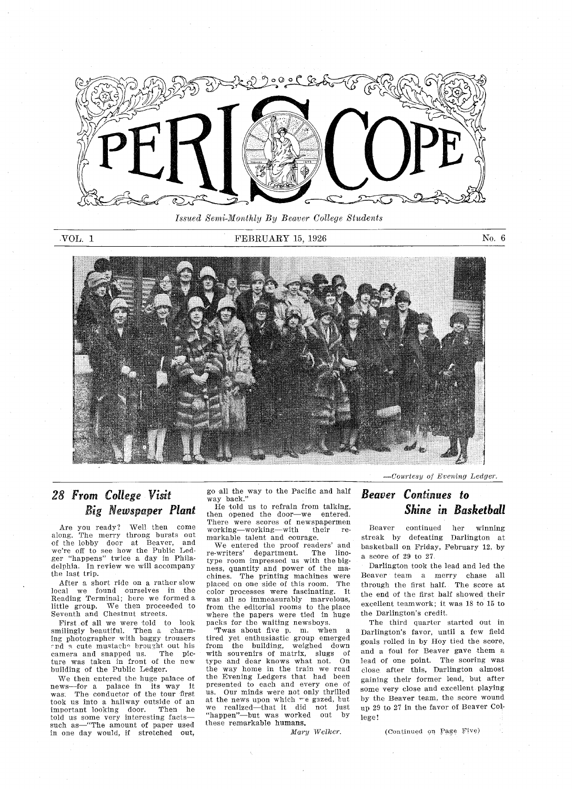

Issued Semi-Monthly By Beaver College Students

#### VOL 1 FEBRUARY 15, 1926 No. 6



## 28 From College Visit Big Newspaper Plant

Are you ready? Well then come<br>along. The merry throng bursts out of the lobby doer at Beaver and were off to see how the Public Led ger "happens" twice a day in Philadelphia. In review we will accompany the last trip

After a short ride on a rather slow local we foond ourselves in the Reading Terminal; here we formed a<br>little group. We then proceeded to little group. We then procee<br>Seventh and Chestnut streets.

First of all we were told to look smilingly beautiful. Then a charmlug photographer with baggy trousers and a cute mustache brought out his camera and snapped us. The piccamera and snapped us. ture was taken in front of the new building of the Public Ledger

We theh entered the huge palace of news—for a palace in its way it was. The conductor of the tour first took us into a hallway outside of an<br>important looking door. Then he important looking door Then he told us some very interesting facts such as time amount of paper used in one day would, if stretched out,

go all the way to the Pacific and half way back

He told us to refrain from talking then opened the door-we entered. There were scores of newspapermen working-working-with their remarkable talent and courage.

We entered the proof readers' and re-writers' department. The linotype room impressed us with the big ness, quantity and power of the machines. The printing machines were placed on one side of this room. The color processes were fascinating. It was all so immeasurably marvelous from the editorial rooms to the place where the papers were tied in huge packs for the waiting newsboys.<br>Twas about five p. m. when

tired yet enthusiastic group emerged from the building, weighed down with souvenirs of matrix slugs of type and dear knows what not On the way home in the train we read the Evening Ledgers that had been presented to each and every one of us. Our minds were not only thrilled at the news upon which we gazed, but<br>we realized—that it did not just "happen"--but was worked out by these remarkable humans

Mary Welker.

### -Courtesy of Evening Ledger.

## Beaver Continues to Shine in Basketball

Beaver continued her winning streak by defeating Darlington at basketball on Friday, February 12, by a score of  $29$  to  $27$ .

Darliagton took the lead and led the Beaver team a merry chase all through the first half. The score at the end of the first half showed their excellent teamwork: it was 18 to 15 to the Darlington's credit.

The third quarter started out in Darlington's favor, until a few field goals rolled in by Roy tied the score and a foul for Beaver gave them a lead of one point. The scoring was close after this, Darlington almost gaining their former lead, but after some very close and excellent playing by the Beaver team, the score wound up <sup>29</sup> to <sup>27</sup> in the favor of Beaver Col lege

(Continued on Page Five)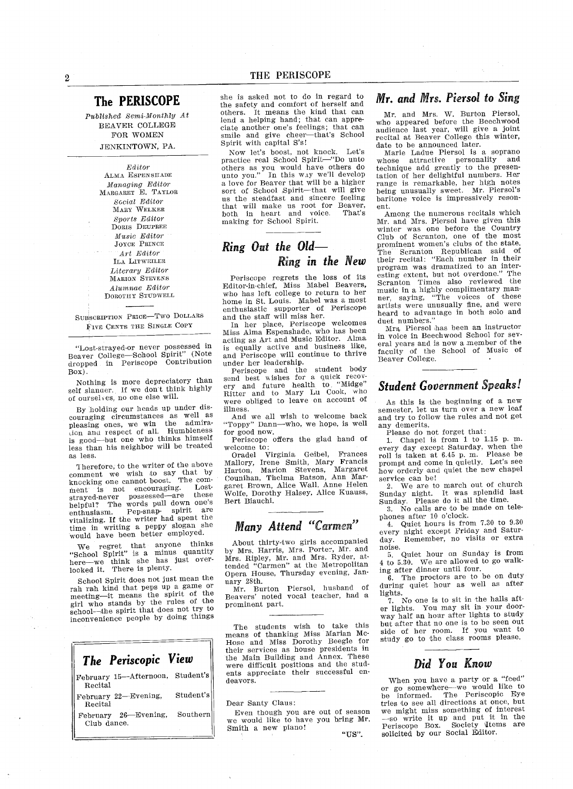### The PERISCOPE

Published Semi-Monthly At BEAVER COLLEGE FOR WOMEN JENKINTOWN, PA.

> Editor ALMA ESPENSHADE Managing Editor MARGARET E. TAYLOR Social Editor MARY WELKER Sports Editor DORIS DEUPREE Music Editor JOYCE PRINcE Art Editor ILA LITwEILEE Literary Editor MARIoN STEVENS Alumnae Editor DOROTHY STUDWELL

SUBSCRIPTION PRICE-TWO DOLLARS FIVE CENTS THE SINGLE COPY

"Lost-strayed-or never possessed in Beaver College-School Spirit" (Note dropped in Periscope Gontribution Box

Nothing is more depreciatory than self slander. If we don't think highly of ourselves, no one else will.

By holding our heads up under dis couraging circumstances as well as pleasing ones we win the admira Lion anu respect of all Rumbleness is good-but one who thinks himself less than his neighbor will be treated as less

Therefore, to the writer of the above comment we wish to say that by knocking one cannot boost. The comment is not encouraging. Lost-<br>thered now encouraging. Loststrayed-never possessed-are helpful? The words pull down one's enthusiasm Pep-snap- spirit are vitalizing If the writer had spent the time in writing a peppy slogan she would have been better employed.

We regret that anyone thinks "School Spirit" is a minus quantity here-we think she has just overlooked it. There is plenty.

School Spirit does not just mean the rah rah kind that peps up game or meeting-it means the spirit of the girl who stands by the rules of the school-the spirit that does not try to inconvenience people by doing things

| The Periscopic View                          |           |
|----------------------------------------------|-----------|
| February 15-Afternoon, Student's<br>Recital  |           |
| February 22-Evening,<br>Recital              | Student's |
| February 26-Evening, Southern<br>Club dance. |           |

she is asked not to do in regard to the safety and comfort of herself and others. It means the kind that can lend a helping hand; that can appre ciate another one's feelings; that can smile and give cheer-that's School Spirit with capital S's!

Now let's boost, not knock. Let's practice real School Spirit-"Do unto others as you would have others do unto you." In this way we'll develop<br>a love for Beaver that will be a higher sort of School Spirit-that will give ns the steadfast and sincere feeling that will make us root for Beaver both in heart and voice Thats making for School Spirit

## Ring Out the Old Ring in the New

Periscope regrets the loss of its Editor-in-chief, Miss Mabel Beavers who has left college to return to her home in St. Louis. Mabel was a most enthusiastic supporter of Periscope and the staff will miss her

In her place, Periscope welcomes Miss Alma Espenshade, who has been acting as Art and Music Editor. Alma is equally active and business like, and Periscope will continue to thrive under her leadership

Periscope and the student body<br>send best wishes for a quick recov ery and future health to "Midge" Bitter and to Mary Lu Cook who were obliged to leave on account of

And we all wish to welcome back "Toppy" Dann-who, we hope, is well for good now

Periscope offers the glad hand of welcome to

Oradel Virginia Geibel, Frances Mallory, Irene Smith, Mary Francis ruarton, Marion Stevens, Margare<br>Couniban Thelma Batson, Ann Mar garet Brown, Alice Wall, Anne Helen Wolfe, Dorothy Halsey, Alice Kuauss Bert Biauchi

# Many Attend "Carmen"

About thirty-two girls accompanied by Mrs. Harris, Mrs. Porter, Mr. and by Mrs. Harris, Mrs. Porter, Mr. and<br>Mrs. Ripley, Mr. and Mrs. Ryder, at tended "Carmen" at the Metropolita Opera House, Thursday evening, January 28th

Mr. Burton Piersol, husband of Beavers' noted vocal teacher, had a prominent part

The students wish to take this means of thanking Miss Marian Mc-Hose and Miss Dorothy Beegle for their services as house presidents in the Main Building and Annex. These were difficult positions and the stud ents appreciate their successful en deavors

Dear Santy Claus

Even though you are out of season we would like to have you bring Mr Smith a new piano!

Mr. and Mrs. Piersol to Sing

Mr. and Mrs. W. Burton Piersol, who appeared before the Beechwood audience last year, will give a joint recital at Beaver College this winter date to be announced later.

Marie Ladue Piersol is soprano whose attractive personality and technique add greatly to the presen tation of her delightful numbers Rer range is remarkable, her high notes being unusually sweet. Mr. Piersol's baritone voice is impressively reson eat

Among the numerous recitals which Mr. and Mrs. Piersol have given this winter was one before the Country Club of Scranton, one of the most prominent women's clubs of the state. The Scranton Republican said of<br>their recital: "Each number in their program was dramatized to an inter esting extent, but not overdone." Scranton Times also reviewed the music in highly complimentary man ner, saying, "The voices of these artists were unusually fine, and were beard to advantage in both solo and duet numbers

Mrs Piersol has been an instructor in voice in Beechwood School for sev eral years and is now a member of the faculty of the School of Music of Beaver College.

## Student Government Speaks

As this is the beginning of a new semester, let us turn over a new leaf and try to follow the rules and not get any demerits

Piease do not forget that

1. Chapel is from 1 to 1.15 p.m. every day except Saturday, when the roll is taken at 6.45 p.m. Please be prompt and come in quietly. Let's see how orderly and quiet the new chapel service can be

We are to march out of church Sunday night. It was splendid last Sunday. Please do it all the time.

3. No calls are to be made on telephones after 10 o'clock.

Quiet hours is from 7.30 to 9.30 every night except Friday and Satur-<br>day. Remember, no visits or extra Remember, no visits or extra noise

Quiet hour on Sunday is from 5. Quiet hour on Sunday is from<br>4 to 5.30. We are allowed to go walking after dinner until four

The proctors are to be on duty during quiet hour as well as after lights

No one is to sit in the halls aft 7. No one is to sit in the nails after lights. You may sit in your doorway half an hour after lights to study but after that no one is to be seen out side of her room. If you want to study go to the class rooms pleas

## Did You Know

When you have a party or a "feed" or go somewhere—we would like to<br>be informed. The Periscopic Eye be informed. The Periscopic Eye tries to see all directions at once, but we might miss something of interest season we might miss something of interest<br>
ing Mr. --so write it up and put it in the<br>
Periscope Box. Society Tems are<br>
"US". solicited by our Social Editor.

illness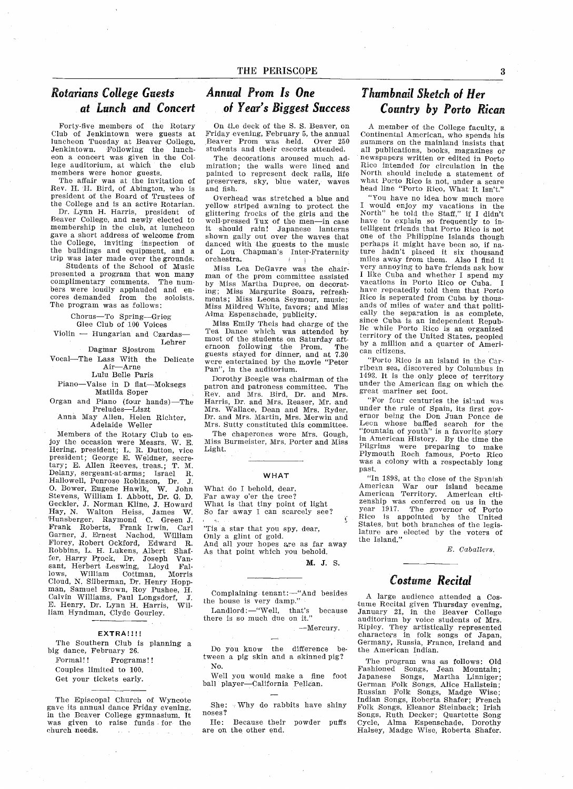# Rotarians College Guests Annual Prom Is One

Forty-five members of the Rotary Club of Jenkintown were guests at luncheon Tuesday at Beaver College Jenkintown. Following the luncheon a concert was given in the College auditorium, at which the club members were honor guests

The affair was at the invitation of Rev. H. H. Bird, of Abington, who is president of the Board of Trustees of the College and is an active Rotarian

Dr. Lynn H. Harris, president of Beaver College, and newly elected to membership in the club, at lunched gave a short address of welcome from the College, inviting inspection of<br>the buildings and equipment, and a trip was later made over the grounds

Students of the School of Music presented a program that won many complimentary comments. The numcomplimentary comments. The num<br>bers were loudly applauded and encores demanded from the soloists The program was as follows

> Chorus-To Spring-Grieg Glee Club of 100 Voices

 $V$ iolin  $-$  Hungarian and Czardas-Lehrer

Dngmar Sjostrom

Vocal-The Lass With the Delicate Air-Arne Lulu Belle Paris

Piano-Valse in D flat-Moksegs

Matilda Soper Organ and Piano (four hands)—The Preludes—Liszt

anna May Allen, Helen Richte<br>Adelaide Weller

Members of the Rotary Club to en joy the occasion were Messrs. W. E. Hering, president; L. R. Dutton, vice<br>president; George E. Weidner, secretary; E. Allen Reeves, treas.; T. M Delany, sergeant-at-arms; Israel R. Hallowell, Penrose Robinson, Dr. J.<br>O. Bower, Eugene Hawlk, W. John<br>Stevens, William I. Abbott, Dr. G. D. Geckler, J. Norman Kline, J. Howar Hay, N. Walton Heiss, Jame Hunsberger, Raymond C. Gree Frank Roberts, Frank Irwin, Carl Garner, J. Ernest Nachod, William Florey, Robert Ockford, Edwar Robbins, L. H. Lukens, Albert Shaf fer, Harry Prock, Dr. Joseph Vansant, Herbert Leswing, Lloyd Fal-<br>lows, William Cottman, Morris Cottman, Cloud, N. Silberman, Dr. Henry Hoppman, Samuel Brown, Roy Pushee, H.<br>Calvin Williams, Paul Longsdorf, J. E. Henry, Dr. Lynn H. Harris, William Hyndman, Clyde Gourley.

#### EXTRA!!!!

The Southern Club is planning a big dance, February 26. Formal!! Programs!! Couples limited to <sup>100</sup> Get your tickets early

The Episcopal Church of Wyncote gave its annual dance Friday evening in the Beaver College gymnasium. It was given to raise funds for the church needs

# at Lunch and Concert of Year's Biggest Success

On the deck of the S. S. Beaver, on Friday evening, February 5, the annual Beaver Prom was held. Over 250 students and their escorts attended.

The decorations aroused much ad miration; the walls were lined and painted to represent deck rails, life preservers, sky, blue water, waves and fish

Overhead was stretched a blue and yellow striped awning to protect the glittering frocks of the girls and the well-pressed Tux of the men-in case it should rain! Japanese lanterns shown gaily out over the waves that danced with the guests to the music of Lou Chapman's Inter-Fraternity orchestra

Miss Lea DeGavre was the chair man of the prom committee assisted by Miss Martha Dupree, on decorating; Miss Margurite Soars, refreshments; Miss Leona Seymour, music<br>Miss Mildred White, favors; and Mis Alma Espenschade, publicity.

Miss Emily Theis had charge of the Tea Dance which was attended by most of the students on Saturday aft ernoon following the Prom. The<br>guests stayed for dinner, and at 7.30 were entertained by the movie "Peter Pan", in the auditorium.

Dorothy Beegle was chairman of the patron and patroness committee. The Rev. and Mrs. Bird, Dr. and Mrs. Harris, Dr. and Mrs. Reaser, Mr. and Mrs. Wallace, Dean and Mrs. Ryder<br>Dr. and Mrs. Martin, Mrs. Merwin and Mrs. Sutty constituted this committee.

The chaperones were Mrs. Gough, Miss Burmeister, Mrs. Porter and Miss Light

#### **WHAT**

What do I behold, dear, Far away o'er the tree What is that tiny point of light<br>So far away I can scarcely see

'Tis a star that you spy, dear, Only a glint of gold. And all your hopes are as far away

As that point which you behold

M. J. S.

Complaining tenant:-"And besides the house is very damp."

Landlord: $-$ "Well, that's because there is so much due on it."

Mercury

Do you know the difference be tween a pig skin and a skinned pig? No

Well you would make a fine foot ball player-California Pelican.

She: Why do rabbits have shiny noses

He: Because their powder puffs are on the other end

# Thumbnail Sketch ol Her Country by Porto Rican

A member of the College faculty, a Continental American, who spends his summers on the mainland insists that all publications, books, magazines or newspapers written or edited in Porto Rico intended for circulation in the North should include a statement of what Porto Rico is not, under a scare<br>head line "Porto Rico, What It Isn't."

You have no idea how much more I would enjoy my vacations in the<br>North" he told the Staff," if I didn't have to explain so frequently to in telligent friends that Porto Rico is not one of the Philippine Islands though perhaps it might have been so, if nature hadn't placed it six thousand miles away from them. Also I find it very annoying to have friends ask how I like Cuba and whether I spend my<br>vacations in Porto Rico or Cuba. I have repeatedly told them that Porto Rico is seperated from Cuba by thous ands of miles of water and that politi cally the separation is as complete, since Cuba is an independent Repub lic while Porto Rico is an organized territory of the United States, peopled by a million and a quarter of American citizens

Porto Rico is an island in the Car ribean sea, discovered by Columbus in 1493. It is the only piece of territory under the American flag on which the great mariner set foot

For four centuries the ishnd was under the rule of Spain, its first governor being the Don Juan Ponce de Leon whose baffled search for the "fountain of youth" is a favorite story in American History. By the time the Pilgrims were preparing to make Plymouth Roch famous, Porto Ric was a colony with a respectably long past

"In 1898, at the close of the Spanish" American War our island becam American Territory. American citi zenship was conferred on us in the year 1917. The governor of Porto Rico is appointed by the Unite States, but both branches of the legislature are elected by the voters of the Island

E. Caballers.

## Costume Recital

A large audience attended a Cos<br>tume Recital given Thursday evening January 21, in the Beaver College auditorium by voice students of Mrs Ripley They artistically represented characters in folk songs of Japan Germany, Russia, France, Ireland and the American Indian

The program was as follows: Old Fashioned Songs, Jean Mountain;<br>Japanese Songs, Martha Linniger<sub>;</sub> German Folk Songs, Alice Hallstein; Russian Folk Songs, Madge Wise;<br>Indian Songs, Roberta Shafer; French Folk Songs, Eleanor Steinback; Irish Songs, Ruth Decker; Quartette Song Cycle, Alma Espenschade, Dorothy Halsey, Madge Wise, Roberta Shafer.

3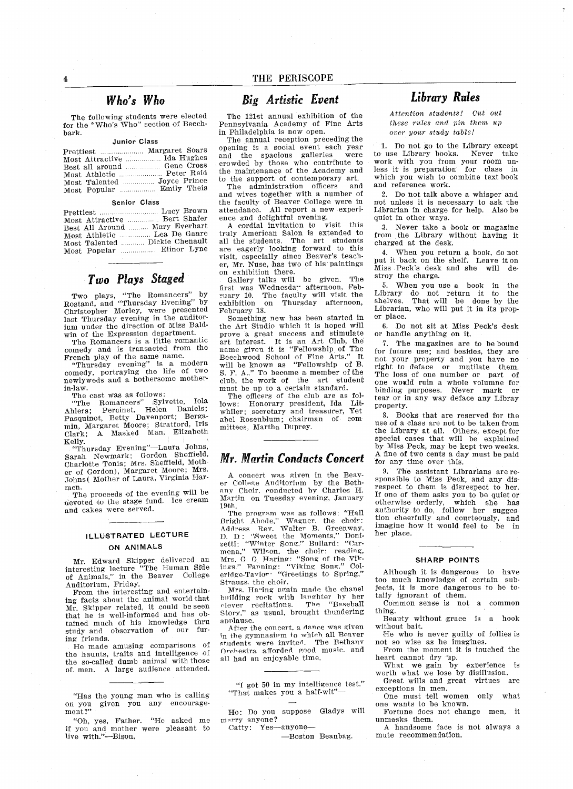$\bf{4}$ 

The following students were elected for the "Who's Who" section of Beechbark

#### Junior Class

| Most Attractive  Ida Hughes |  |
|-----------------------------|--|
| Best all around  Gene Cross |  |
| Most Athletic  Peter Reid   |  |
| Most Talented  Joyce Prince |  |
| Most Popular  Emily Theis   |  |

#### Senior Class

| Most Attractive  Bert Shafer   |
|--------------------------------|
| Best All Around  Mary Everhart |
| Most Athletic  Lea De Ganre    |
| Most Talented  Dickie Chenault |
| Most Popular  Elinor Lyne      |

# Two Plays Staged

Two plays, "The Romancers" by Rostand, and "Thursday Evening" by Christopher Morley, were presented last Thursday evening in the auditor ium under the direction of Miss Bald win of the Expression department

The Romancers is a little romantic comedy and is transacted from the French play of the same name

"Thursday evening" is a modern<br>comedy, portraying the life of two newlyweds and a bothersome motherin-law

The cast was as follows:<br>
"The Romancers" Sylvette, Iola<br>
Ahlers; Percinet, Helen Daniels<br>
Pasquinot, Betty Davenport; Berga Pasquinot, Betty Davenport, Borga<br>min, Margaret Moore; Stratford, Iris<br>Clark; A. Masked Man, Elizabeth Kelly

"Thursday Evening"-Laura Johns, Sarah Newmark; Gordon Sheffield, Charlotte Tonis; Mrs. Sheffield, Mother of Gordon), Margaret Moore; Mrs<br>Johns ( Mother of Laura, Virginia Har

men.<br>The proceeds of the evening will be  $\det$  devoted to the stage fund. Ice cream and cakes were served

#### ILLUSTRATED LECTURE ON ANIMALS

Mr Edward Skipper delivered an interesting lecture The Human SIde of Animals," in the Beaver College Auditorium, Friday.

From the interesting and entertain ing facts about the animal world that Mr. Skipper related, it could be seen that he is well-informed and has ob tained much of his knowledge thru study and observation of our fur ing friends

He made amusing comparisons of the haunts, traits and intelligence of the so-called dumb animal with those of man. A large audience attended.

"Has the young man who is calling on you given you any encourage ment?

"Oh, yes, Father. "He asked me if you and mother were pleasant to live with."-Bison.

### Big Artistic Event

The 121st annual exhibition of the Pennsylvania Academy of Fine Arts in Philadelphia is now open

The annual reception preceding the opening is social event each year and the spacious galleries were crowded by those who contribute to the maintenance of the Academy and to the support of contemporary art.<br>The administration officers and

The administration officers and wives together with a number of the faculty of Beaver College were in attendance. All report a new experi ence and delightful evening

cordial invitation to visit this truly American Salon is extended to all the students. The art students are eagerly looking forward to this visit, especially since Beaver's teacher, Mr. Nuse, has two of his paintings on exhibition there

Gallery talks will be given The first was Wednesday afternoon Feb ruary 10. The faculty will visit the exhibition on Thursday afternoon, on Thursday afternoon, February 18

Something new has been started in the Art Studio which it is hoped will prove a great success and stimulate<br>art interest. It is an Art Club, the name given it is "Fellowship of The name given it is renowship of file<br>Beechwood School of Fine Arts." I will be known as "Fellowship of B.<br>S. F. A.." To become a member of the club, the work of the art student must be up to a certain standard.

The officers of the club are as fol lows: Honorary president, Ida Lit whiler; secretary and treasurer, Yet<br>abel Bosenblum: chairman of com abel Rosenblum; chairman of mittees, Martha Duprey.

#### Mr. Martin Conducts Concert

concert was given in the Beav er College Auditorium by the Bethany Choir, conducted by Charles H. Martin on Tuesday evening, January<br>19th.

19th.<br>- The program was as follows: "Hai Bright Abode," Wagner. the choir:<br>Address Rev. Walter B. Greenway,<br>D. D. "Sweet the Moments." Doni-<br>zetti: "Winter Song." Bullard: "Car-<br>mena," Wilson, the choir: reading,<br>Mrs, G. Haring: "Song of the Vikmis, G. G. Paring. Song Or Colins.<br>
ings." Fanning: "Viking Song." Coleridge-Tavlor "Greetings to Spring." Strauss the choir

Mrs. Haring again made the chanel building rock with langhter by her clever recitations. The "Baseball clever recitations. The "Baseball Story," as usual, brought thundering applause.

After the concert, a dance was given in the gymnasium to which all Beaver<br>students were invited. The Bethany students were invited. Orchestra afforded good music and all had an enjoyable time

"I got 50 in my intelligence test." "That makes you a half-wit"-

Ho: Do you suppose Gladys will marry anyone Catty: Yes-anyone-

-Boston Beanbag.

Attention students! Cut out these rules and pin them up

over your study table

Do not go to the Library except to use Library books Never take work with you from your room un less it is preparation for class in which you wish to combine text book and reference work

2. Do not talk above a whisper and not unless it is necessary to ask the Librarian in charge for help. Also be quiet in other ways

3. Never take a book or magazine from the Library without having it charged at the desk

4. When you return a book, do not put it back on the shelf. Leave it on Miss Peck's desk and she will destroy the charge

5. When you use a book in the Library do not return it to the shelves. That will be done by the shelves. That will be done by the Librarian, who will put it in its proper place

6. Do not sit at Miss Peck's desk or handle anything on it

7. The magazines are to be bound for future use; and besides, they are not your property and you have no right to deface or mutilate them The loss of one number or part of one woald ruin whole volumne for binding purposes. Never mark or tear or in any way deface any Libray property

Books that are reserved for the use of a class are not to be taken from the Library at all. Others, except for special cases that will be explained by Miss Peck, may be kept two weeks. A fine of two cents a day must be paid for any time over this.

The assistant Librarians are re sponsible to Miss Peck, and any disrespect to them is disrespect to her If one of them asks you to be quiet or otherwise orderly which she has authority to do, follow her sugges tion cheerfully and courteously, and imagine how it would feel to be in her place

#### SHARP POINTS

Although it is dangerous to have too much knowledge of certain sub jects, it is more dangerous to be totally ignorant of them

Common sense is not a common thing

Beauty without grace is a hook without bait

He who is never guilty of follies is not so wise as he imagines

From the moment it is touched the heart cannot dry up.

What we gain by experience is worth what we lose by disillusion

Great wills and great virtues are exceptions in men. One must tell women only what

one wants to be known Fortune does not change men, it

unmasks them

A handsome face is not always a mute recommendation

Library Rules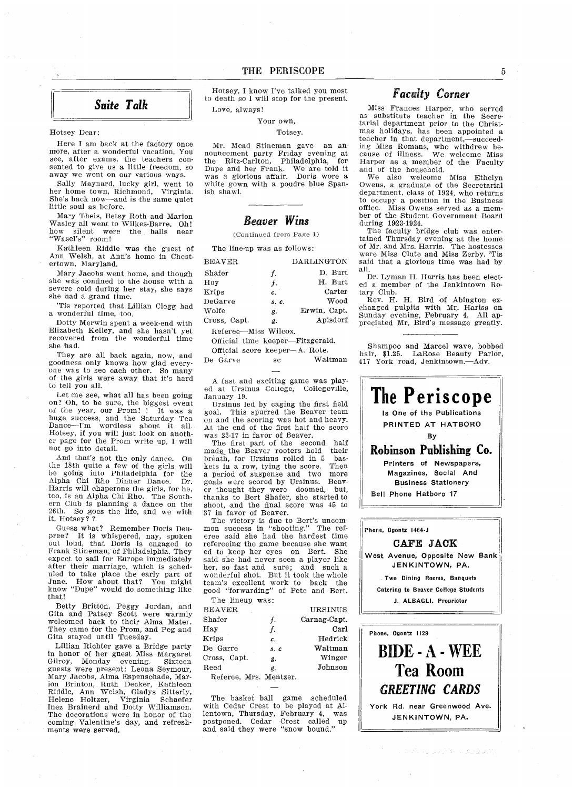Hotsey, I know I've talked you most to death so I will stop for the present. Love, always!

Your own

Totsey

Mr. Mead Stineman gave an announcement party Friday evening at the Ritz-Carlton, Philadelphia, for Dupe and her Frank We are told it was a glorious affair. Doris wore white gown with a poudre blue Spanish shawl

### Beaver Wins

Continued from Page

The line-up was as follows

| <b>BEAVER</b>        |               | DARLINGTON   |
|----------------------|---------------|--------------|
| Shafer               | f.            | D. Burt      |
| Hov                  | f.            | H. Burt      |
| Krips                | $c^{\dagger}$ | Carter       |
|                      | $s$ . $c$ .   | Wood         |
| Wolfe                | g.            | Erwin, Capt. |
| Cross, Capt.         | g.            | Apisdorf     |
| Referee—Miss Wilcox. |               |              |
|                      |               |              |

Official time keeper-Fitzgerald. Official score keeper-A. Rote.

De Garve sc Waitman

A fast and exciting game was played at Ursinus College, Collegeville, January 19

Ursiaus led by caging the first field goal This spurred the Beaver team on and the scoring was hot and heavy At the end of the first halt the score was 23-17 in favor of Beaver

The first part of the second half made the Beaver rooters hold their breath, for Ursinus rolled in 5 baskets in a row, tying the score. Then<br>a period of suspense and two more a period of suspense and two goals were scored by Ursinus. Beaver thought they were doomed, but thanks to Bert Shafer, she started to shoot, and the final score was 45 to <sup>37</sup> in favor of Beaver

The victory is due to Bert's uncommon success in "shooting." The referee said she had the hardest time refereeing the game because she want<br>ed to keep her eyes on Bert. She said she had never seen a player like her, so fast and sure; and such a<br>wonderful shot. But it took the whole<br>team's excellent work to back the<br>good "forwarding" of Pete and Bert.

| <b>BEAVER</b>          |                | URSINUS      |
|------------------------|----------------|--------------|
| Shafer                 | f.             | Carnag-Capt. |
| Hay                    | f.             | Carl         |
| Krips                  | $\mathbf{c}$ . | Hedrick      |
| De Garre               | s.c            | Waltman      |
| Cross, Capt.           | g.             | Winger       |
| Reed                   | g.             | Johnson      |
| Referee, Mrs. Mentzer. |                |              |

The basket ball game scheduled with Cedar Crest to be played at Al lentown, Thursday, February 4, was postponed Cedar Crest called up and said they were "snow bound."

## Faculty Corner

Miss Frances Harper, who served as substitute teacher in the Secre tarial department prior to the Christ mas holidays, has been appointed a teacher in that department,-succeeding Miss Romans, who withdrew because of illness. We welcome Miss Harper as member of the Faculty and of the household

We also welcome Miss Ethelyn Owens, a graduate of the Secretarial department, class of 1924, who returns to occupy a position in the Business officel Miss Owens served as mem ber of the Student Government Board during 1923-1924

The faculty bridge club was enter tained Thursday evening at the home of Mr and Mrs Harris The hostesses were Miss Clute and Miss Zerby. 'Ti said that glorious time was had by all

Dr. Lyman H. Harris has been elected member of the Jeakintown Ro tary Club

Rev. H. H. Bird of Abington exchanged pulpits with Mr Hariss on Sunday evening, February 4. All appreciated Mr. Bird's message greatly.

Shampoo and Marcel wave, bobbed hair, \$1.25. LaRose Beauty Parlo<br>417 York road, Jenkintown.—Adv.



かんしゅうけい スラムをよび



Hotsey Dear

Here I am back at the factory once more, after a wonderful vacation. You see, after exams, the teachers consented to give us a little freedom, so away we went on our various ways.

Sally Maynard, lucky girl, went to her home town, Richmond, Virginia. She's back now-and is the same quiet little soul as before

Mary Theis, Betsy Roth and Marion Wasley all went to Wilkes-Barre. Oh! how silent were the halls near "Wasel's" room!

Kathleen Riddle was the guest of Ann Welsh, at Ann's home in Chestertown. Maryland.

Mary Jacobs went home, and though she was confined to the house with a severe cold during her stay, she says she had grand time

Tis reported that Lillian Clegg had a wonderful time, too.

Dotty Merwin spent a week-end with Elizabeth Kelley, and she hasn't yet **recovered** from the wonderful time she had

They are all back again, now, and goodness only knows how glad every one was to see each other. So many of the girls were away that it's hard to tell you all

Let me see, what all has been going on? Oh, to be sure, the biggest event<br>of the year, our Prom! ! It was a of the year, our Prom! ! huge success and the Satnrday Tea Dance-Im wordless about it all Hotsey, if you will just look on another page for the Prom write up, I will not go into detail

And that's not the only dance. On the 18th quite a few of the girls will be going into Philadelphia for the<br>Alpha Chi Rho Dinner Dance. Dr<br>Harris will chaperone the girls, for he,<br>tco, is an Alpha Chi Rho. The South too, is an Alpha Chi Rho. The South-<br>ern Club is planning a dance on the  $26th$ . So goes the life, and we with it, Hotsey??

Guess what? Remember Doris Deupree? It is whispered, nay, spoken out loud, that Doris is engaged to Frank Stineman, of Philadelphia. The<br>expect to sail for Europe immediatel after their marriage, which is scheduled to take place the early part of June. How about that? You might know "Dupe" would do something like that

Betty Britton, Peggy Jordan, and Gita and Patsey Scott were warmly welcomed back to their Alma Mater They came for the Prom, and Peg and Gita stayed until Tuesday.

Lillian Richter gave a Bridge party in honor of her guest Miss Margare<br>Gilroy, Monday evening. Sixteen guests were present: Leona Seymour, Mary Jacobs, Alma Espenschade, Mar<br>ion Brinton, Ruth Decker, Kathleen Riddle, Ann Welsh, Gladys Sitterly,<br>Helene Holtzer, Virginia Schaefer<br>Inez Brainerd and Dotty Williamson.<br>The decorations were in honor of the coming Valentine's day, and refresh ments were serve